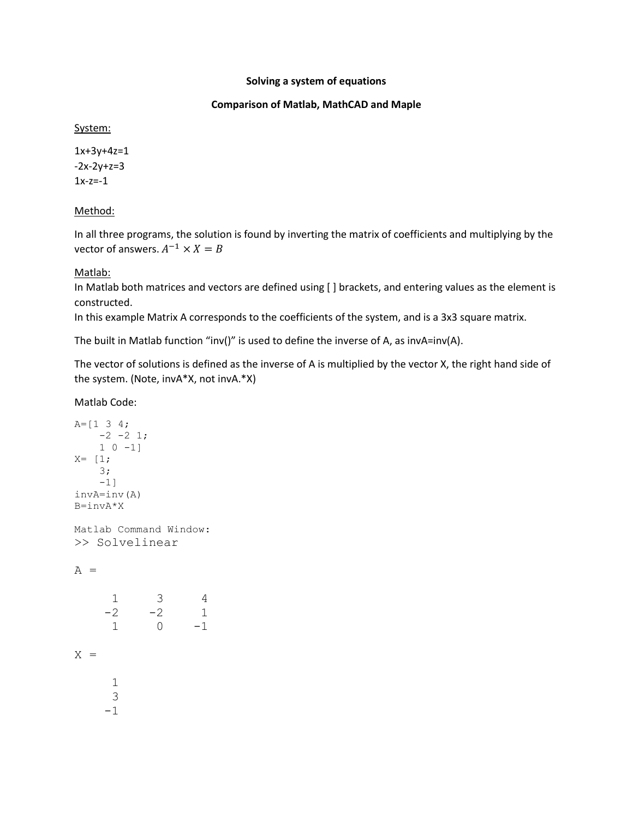### **Solving a system of equations**

## **Comparison of Matlab, MathCAD and Maple**

System:

1x+3y+4z=1  $-2x-2y+z=3$  $1x-z=-1$ 

# Method:

In all three programs, the solution is found by inverting the matrix of coefficients and multiplying by the vector of answers.  $A^{-1} \times X = B$ 

# Matlab:

In Matlab both matrices and vectors are defined using [ ] brackets, and entering values as the element is constructed.

In this example Matrix A corresponds to the coefficients of the system, and is a 3x3 square matrix.

The built in Matlab function "inv()" is used to define the inverse of A, as invA=inv(A).

The vector of solutions is defined as the inverse of A is multiplied by the vector X, the right hand side of the system. (Note, invA\*X, not invA.\*X)

Matlab Code:

```
A=[1 3 4;-2 -2 1;
   1 \ 0 \ -1]X= [1; 3;
   -1]
invA=inv(A)
B=invA*X
Matlab Command Window:
>> Solvelinear
A = 1 3 4
    -2 -2 1
      1 0 -1
X = 1
      3
     -1
```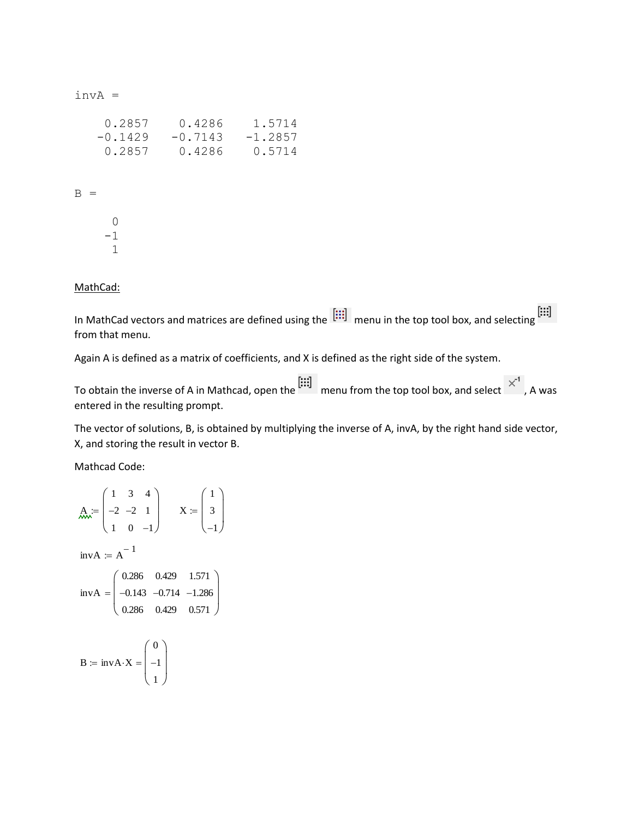invA =

| 0.2857    | 0.4286    | 1.5714    |
|-----------|-----------|-----------|
| $-0.1429$ | $-0.7143$ | $-1.2857$ |
| 0.2857    | 0.4286    | 0.5714    |

 $B =$ 

|  | 0  |
|--|----|
|  | -1 |
|  | 1  |

#### MathCad:

In MathCad vectors and matrices are defined using the  $\begin{bmatrix} \vdots \\ \vdots \end{bmatrix}$  menu in the top tool box, and selecting  $\begin{bmatrix} \vdots \\ \vdots \end{bmatrix}$ from that menu.

Again A is defined as a matrix of coefficients, and X is defined as the right side of the system.

To obtain the inverse of A in Mathcad, open the  $\begin{bmatrix} \vdots \\ \vdots \end{bmatrix}$  menu from the top tool box, and select  $\begin{bmatrix} x^1 \\ x^2 \end{bmatrix}$ , A was entered in the resulting prompt.

The vector of solutions, B, is obtained by multiplying the inverse of A, invA, by the right hand side vector, X, and storing the result in vector B.

Mathcad Code:

$$
\lim_{n \to \infty} x = \begin{pmatrix} 1 & 3 & 4 \\ -2 & -2 & 1 \\ 1 & 0 & -1 \end{pmatrix} \qquad X := \begin{pmatrix} 1 \\ 3 \\ -1 \end{pmatrix}
$$
  
invA = A<sup>-1</sup>  
invA = 
$$
\begin{pmatrix} 0.286 & 0.429 & 1.571 \\ -0.143 & -0.714 & -1.286 \\ 0.286 & 0.429 & 0.571 \end{pmatrix}
$$
  
B = invA · X = 
$$
\begin{pmatrix} 0 \\ -1 \end{pmatrix}
$$

1

 $\left(1\right)$